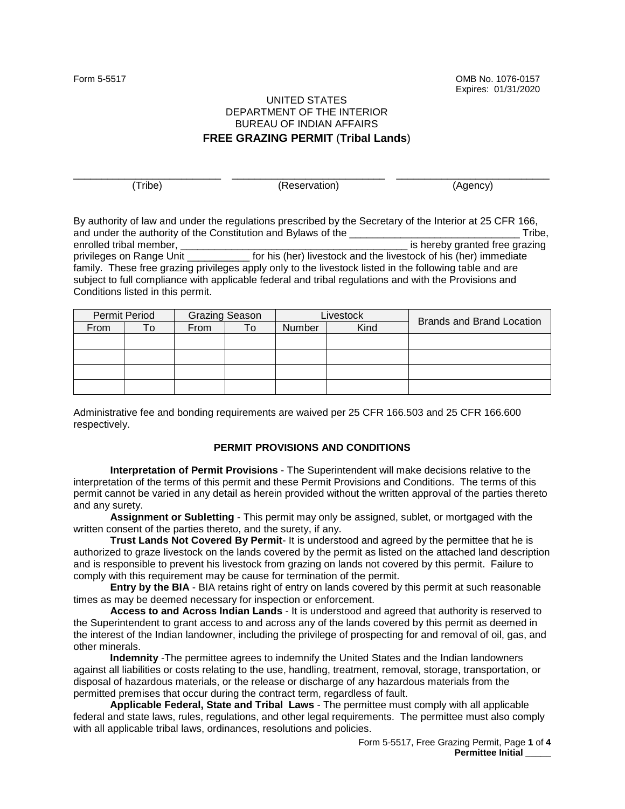Form 5-5517 OMB No. 1076-0157 Expires: 01/31/2020

## UNITED STATES DEPARTMENT OF THE INTERIOR BUREAU OF INDIAN AFFAIRS **FREE GRAZING PERMIT** (**Tribal Lands**)

\_\_\_\_\_\_\_\_\_\_\_\_\_\_\_\_\_\_\_\_\_\_\_\_\_\_ \_\_\_\_\_\_\_\_\_\_\_\_\_\_\_\_\_\_\_\_\_\_\_\_\_\_\_ \_\_\_\_\_\_\_\_\_\_\_\_\_\_\_\_\_\_\_\_\_\_\_\_\_\_\_

(Tribe) (Reservation) (Agency)

By authority of law and under the regulations prescribed by the Secretary of the Interior at 25 CFR 166, and under the authority of the Constitution and Bylaws of the **Example 20** and under the authority of the Constitution and Bylaws of the **Example 20** and the Constitution and Bylaws of the **Example 20** and the state of the enrolled tribal member, the state of the state of the state of the state of the state of the state of the state of the state of the state of the state of the state of the state of the state of the state of the state of the privileges on Range Unit \_\_\_\_\_\_\_\_\_\_\_ for his (her) livestock and the livestock of his (her) immediate family. These free grazing privileges apply only to the livestock listed in the following table and are subject to full compliance with applicable federal and tribal regulations and with the Provisions and Conditions listed in this permit.

| Permit Period |     | <b>Grazing Season</b> |    | Livestock |      | <b>Brands and Brand Location</b> |  |
|---------------|-----|-----------------------|----|-----------|------|----------------------------------|--|
| From          | ∣ O | From                  | Го | Number    | Kind |                                  |  |
|               |     |                       |    |           |      |                                  |  |
|               |     |                       |    |           |      |                                  |  |
|               |     |                       |    |           |      |                                  |  |
|               |     |                       |    |           |      |                                  |  |

Administrative fee and bonding requirements are waived per 25 CFR 166.503 and 25 CFR 166.600 respectively.

## **PERMIT PROVISIONS AND CONDITIONS**

**Interpretation of Permit Provisions** - The Superintendent will make decisions relative to the interpretation of the terms of this permit and these Permit Provisions and Conditions. The terms of this permit cannot be varied in any detail as herein provided without the written approval of the parties thereto and any surety.

**Assignment or Subletting** - This permit may only be assigned, sublet, or mortgaged with the written consent of the parties thereto, and the surety, if any.

**Trust Lands Not Covered By Permit**- It is understood and agreed by the permittee that he is authorized to graze livestock on the lands covered by the permit as listed on the attached land description and is responsible to prevent his livestock from grazing on lands not covered by this permit. Failure to comply with this requirement may be cause for termination of the permit.

**Entry by the BIA** - BIA retains right of entry on lands covered by this permit at such reasonable times as may be deemed necessary for inspection or enforcement.

**Access to and Across Indian Lands** - It is understood and agreed that authority is reserved to the Superintendent to grant access to and across any of the lands covered by this permit as deemed in the interest of the Indian landowner, including the privilege of prospecting for and removal of oil, gas, and other minerals.

**Indemnity** -The permittee agrees to indemnify the United States and the Indian landowners against all liabilities or costs relating to the use, handling, treatment, removal, storage, transportation, or disposal of hazardous materials, or the release or discharge of any hazardous materials from the permitted premises that occur during the contract term, regardless of fault.

**Applicable Federal, State and Tribal Laws** - The permittee must comply with all applicable federal and state laws, rules, regulations, and other legal requirements. The permittee must also comply with all applicable tribal laws, ordinances, resolutions and policies.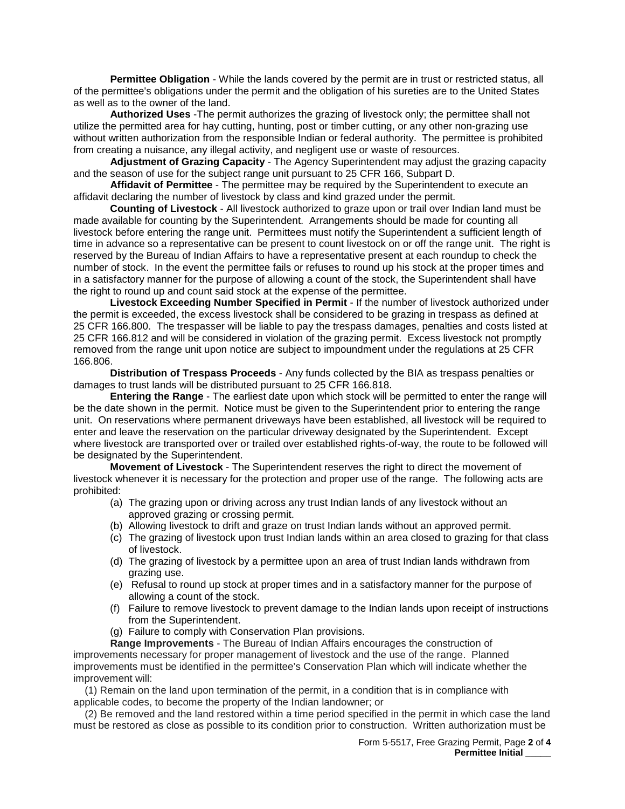**Permittee Obligation** - While the lands covered by the permit are in trust or restricted status, all of the permittee's obligations under the permit and the obligation of his sureties are to the United States as well as to the owner of the land.

**Authorized Uses** -The permit authorizes the grazing of livestock only; the permittee shall not utilize the permitted area for hay cutting, hunting, post or timber cutting, or any other non-grazing use without written authorization from the responsible Indian or federal authority. The permittee is prohibited from creating a nuisance, any illegal activity, and negligent use or waste of resources.

**Adjustment of Grazing Capacity** - The Agency Superintendent may adjust the grazing capacity and the season of use for the subject range unit pursuant to 25 CFR 166, Subpart D.

**Affidavit of Permittee** - The permittee may be required by the Superintendent to execute an affidavit declaring the number of livestock by class and kind grazed under the permit.

**Counting of Livestock** - All livestock authorized to graze upon or trail over Indian land must be made available for counting by the Superintendent. Arrangements should be made for counting all livestock before entering the range unit. Permittees must notify the Superintendent a sufficient length of time in advance so a representative can be present to count livestock on or off the range unit. The right is reserved by the Bureau of Indian Affairs to have a representative present at each roundup to check the number of stock. In the event the permittee fails or refuses to round up his stock at the proper times and in a satisfactory manner for the purpose of allowing a count of the stock, the Superintendent shall have the right to round up and count said stock at the expense of the permittee.

**Livestock Exceeding Number Specified in Permit** - If the number of livestock authorized under the permit is exceeded, the excess livestock shall be considered to be grazing in trespass as defined at 25 CFR 166.800. The trespasser will be liable to pay the trespass damages, penalties and costs listed at 25 CFR 166.812 and will be considered in violation of the grazing permit. Excess livestock not promptly removed from the range unit upon notice are subject to impoundment under the regulations at 25 CFR 166.806.

**Distribution of Trespass Proceeds** - Any funds collected by the BIA as trespass penalties or damages to trust lands will be distributed pursuant to 25 CFR 166.818.

**Entering the Range** - The earliest date upon which stock will be permitted to enter the range will be the date shown in the permit. Notice must be given to the Superintendent prior to entering the range unit. On reservations where permanent driveways have been established, all livestock will be required to enter and leave the reservation on the particular driveway designated by the Superintendent. Except where livestock are transported over or trailed over established rights-of-way, the route to be followed will be designated by the Superintendent.

**Movement of Livestock** - The Superintendent reserves the right to direct the movement of livestock whenever it is necessary for the protection and proper use of the range. The following acts are prohibited:

- (a) The grazing upon or driving across any trust Indian lands of any livestock without an approved grazing or crossing permit.
- (b) Allowing livestock to drift and graze on trust Indian lands without an approved permit.
- (c) The grazing of livestock upon trust Indian lands within an area closed to grazing for that class of livestock.
- (d) The grazing of livestock by a permittee upon an area of trust Indian lands withdrawn from grazing use.
- (e) Refusal to round up stock at proper times and in a satisfactory manner for the purpose of allowing a count of the stock.
- (f) Failure to remove livestock to prevent damage to the Indian lands upon receipt of instructions from the Superintendent.
- (g) Failure to comply with Conservation Plan provisions.

**Range Improvements** - The Bureau of Indian Affairs encourages the construction of improvements necessary for proper management of livestock and the use of the range. Planned improvements must be identified in the permittee's Conservation Plan which will indicate whether the improvement will:

 (1) Remain on the land upon termination of the permit, in a condition that is in compliance with applicable codes, to become the property of the Indian landowner; or

 (2) Be removed and the land restored within a time period specified in the permit in which case the land must be restored as close as possible to its condition prior to construction. Written authorization must be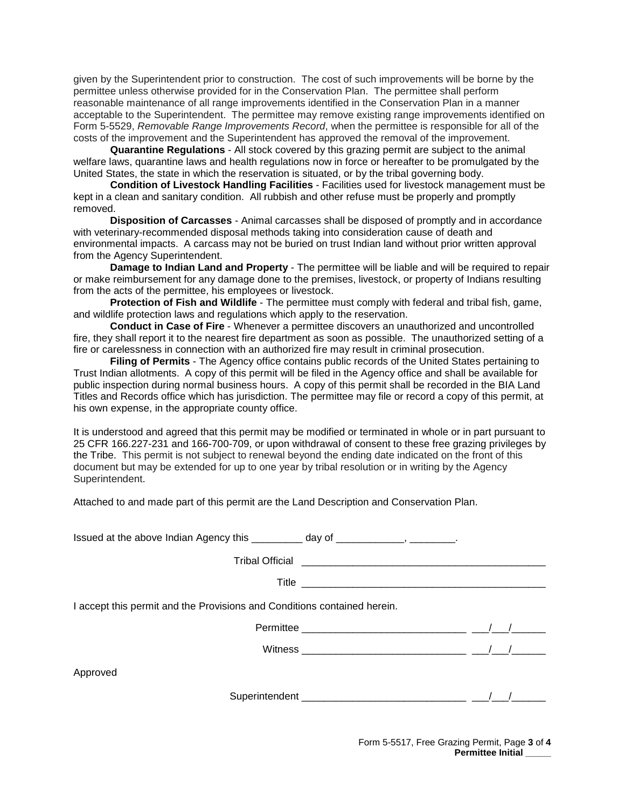given by the Superintendent prior to construction. The cost of such improvements will be borne by the permittee unless otherwise provided for in the Conservation Plan. The permittee shall perform reasonable maintenance of all range improvements identified in the Conservation Plan in a manner acceptable to the Superintendent. The permittee may remove existing range improvements identified on Form 5-5529, *Removable Range Improvements Record*, when the permittee is responsible for all of the costs of the improvement and the Superintendent has approved the removal of the improvement.

**Quarantine Regulations** - All stock covered by this grazing permit are subject to the animal welfare laws, quarantine laws and health regulations now in force or hereafter to be promulgated by the United States, the state in which the reservation is situated, or by the tribal governing body.

**Condition of Livestock Handling Facilities** - Facilities used for livestock management must be kept in a clean and sanitary condition. All rubbish and other refuse must be properly and promptly removed.

**Disposition of Carcasses** - Animal carcasses shall be disposed of promptly and in accordance with veterinary-recommended disposal methods taking into consideration cause of death and environmental impacts. A carcass may not be buried on trust Indian land without prior written approval from the Agency Superintendent.

**Damage to Indian Land and Property** - The permittee will be liable and will be required to repair or make reimbursement for any damage done to the premises, livestock, or property of Indians resulting from the acts of the permittee, his employees or livestock.

**Protection of Fish and Wildlife** - The permittee must comply with federal and tribal fish, game, and wildlife protection laws and regulations which apply to the reservation.

**Conduct in Case of Fire** - Whenever a permittee discovers an unauthorized and uncontrolled fire, they shall report it to the nearest fire department as soon as possible. The unauthorized setting of a fire or carelessness in connection with an authorized fire may result in criminal prosecution.

**Filing of Permits** - The Agency office contains public records of the United States pertaining to Trust Indian allotments. A copy of this permit will be filed in the Agency office and shall be available for public inspection during normal business hours. A copy of this permit shall be recorded in the BIA Land Titles and Records office which has jurisdiction. The permittee may file or record a copy of this permit, at his own expense, in the appropriate county office.

It is understood and agreed that this permit may be modified or terminated in whole or in part pursuant to 25 CFR 166.227-231 and 166-700-709, or upon withdrawal of consent to these free grazing privileges by the Tribe. This permit is not subject to renewal beyond the ending date indicated on the front of this document but may be extended for up to one year by tribal resolution or in writing by the Agency Superintendent.

Attached to and made part of this permit are the Land Description and Conservation Plan.

| Issued at the above Indian Agency this | dav of |  |
|----------------------------------------|--------|--|

Tribal Official \_\_\_\_\_\_\_\_\_\_\_\_\_\_\_\_\_\_\_\_\_\_\_\_\_\_\_\_\_\_\_\_\_\_\_\_\_\_\_\_\_\_\_

Title \_\_\_\_\_\_\_\_\_\_\_\_\_\_\_\_\_\_\_\_\_\_\_\_\_\_\_\_\_\_\_\_\_\_\_\_\_\_\_\_\_\_\_

I accept this permit and the Provisions and Conditions contained herein.

| Permittee |  |  |
|-----------|--|--|
|           |  |  |

Witness \_\_\_\_\_\_\_\_\_\_\_\_\_\_\_\_\_\_\_\_\_\_\_\_\_\_\_\_\_ \_\_\_/\_\_\_/\_\_\_\_\_\_

Approved

| Superintendent |  |  |
|----------------|--|--|
|                |  |  |
|                |  |  |

Form 5-5517, Free Grazing Permit, Page **3** of **4 Permittee Initial \_\_\_\_\_**